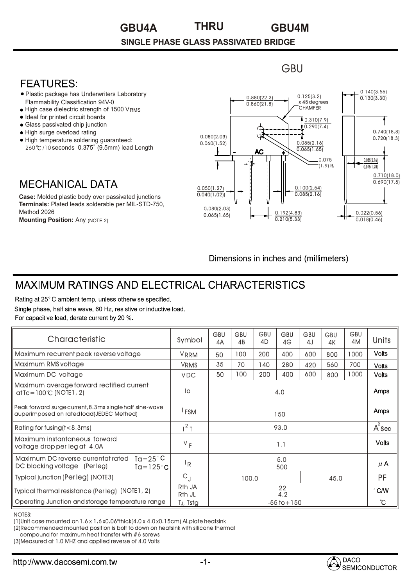#### **GBU4A GBU4M THRU**

#### **SINGLE PHASE GLASS PASSIVATED BRIDGE**

### **FFATURFS:**

- Plastic package has Underwriters Laboratory • Flammability Classification 94V-0
- High case dielectric strength of 1500 VRMS •
- Ideal for printed circuit boards •
- Glass passivated chip junction •
- High surge overload rating •
- High temperature soldering guaranteed: 260°C/10 seconds 0.375" (9.5mm) lead Length

## **MECHANICAL DATA**

**Case:** Molded plastic body over passivated junctions **Terminals:** Plated leads solderable per MIL-STD-750, Method 2026 **Mounting Position:** Any (NOTE 2)



Dimensions in inches and (millimeters)

# **MAXIMUM RATINGS AND ELECTRICAL CHARACTERISTICS**

Rating at 25°C ambient temp. unless otherwise specified. Single phase, half sine wave, 60 Hz, resistive or inductive load. For capacitive load, derate current by 20 %.

| Characteristic                                                                                                      | Symbol                       | GBU<br>4А       | <b>GBU</b><br>4B | <b>GBU</b><br>4D | <b>GBU</b><br>4G | GBU<br>4J | GBU<br>4K | GBU<br>4M | Units         |
|---------------------------------------------------------------------------------------------------------------------|------------------------------|-----------------|------------------|------------------|------------------|-----------|-----------|-----------|---------------|
| Maximum recurrent peak reverse voltage                                                                              | <b>VRRM</b>                  | 50              | 100              | 200              | 400              | 600       | 800       | 1000      | <b>Volts</b>  |
| Maximum RMS voltage                                                                                                 | <b>VRMS</b>                  | 35              | 70               | 140              | 280              | 420       | 560       | 700       | <b>Volts</b>  |
| Maximum DC voltage                                                                                                  | <b>VDC</b>                   | 50              | 100              | 200              | 400              | 600       | 800       | 1000      | Volts         |
| Maximum average forward rectified current<br>$atTe=100°C$ (NOTE1, 2)                                                | lo                           | 4.0             |                  |                  |                  |           |           |           | Amps          |
| Peak forward surge current, 8.3ms single half sine-wave<br>auperimposed on rated load(JEDEC Methed)                 | <sup>I</sup> FSM             | 150             |                  |                  |                  |           |           |           | <b>Amps</b>   |
| Rating for fusing (t<8.3ms)                                                                                         | $1^2$ T                      | 93.0            |                  |                  |                  |           |           |           | $A^2$ Sec     |
| Maximum instantaneous forward<br>voltage drop per leg at 4.0A                                                       | $V_F$                        | 1.1             |                  |                  |                  |           |           |           | <b>Volts</b>  |
| Maximum DC reverse currentat rated<br>$Ta = 25^{\circ}C$<br>DC blocking voltage<br>(Per leg)<br>Ta=125 $^{\circ}$ C | ١R                           | 5.0<br>500      |                  |                  |                  |           |           |           | $\mu$ A       |
| <b>Typical junction (Per leg) (NOTE3)</b>                                                                           | $C_{J}$                      | 45.0<br>100.0   |                  |                  |                  |           | <b>PF</b> |           |               |
| Typical thermal resistance (Per leg) (NOTE1, 2)                                                                     | R <sub>th</sub> JA<br>Rth JL | 22<br>4.2       |                  |                  |                  |           |           |           | $\degree$ C/W |
| Operating Junction and storage temperature range                                                                    | TJ, Tstg                     | $-55$ to $+150$ |                  |                  |                  |           |           |           | ĈС            |

NOTES:

(1)Unit case mounted on 1.6 x 1.6 x0.06"thick(4.0 x 4.0 x0.15cm) Al.plate heatsink

(2)Recommended mounted position is bolt to down on heatsink with silicone thermal

compound for maximum heat transfer with #6 screws

(3)Measured at 1.0 MHZ and applied reverse of 4.0 Volts



**GBU**